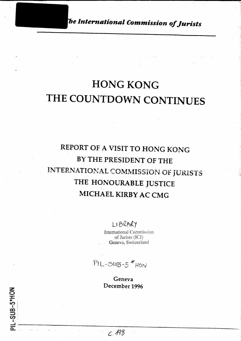*e International Commission of Jurists* 

# **HONG KONG THE COUNTDOWN CONTINUES**

## REPORT OF A VISIT TO HONG KONG BY THE PRESIDENT OF THE INTERNATIONAL COMMISSION OF JURISTS THE HONOURABLE JUSTICE MICHAEL KIRBY AC CMG

LIBRARY

International Commission of Jurists (JCJ) Geneva, Switzerland

 $PIL-SUB-5*HON$ 

Geneva December 1996

=-. 0.. -~----------------------------------------------------------------- . - .

z <u>요</u>  $\sim$  I  $\mathbf{a}^{\top}$  .

:=:;, • *en.*  I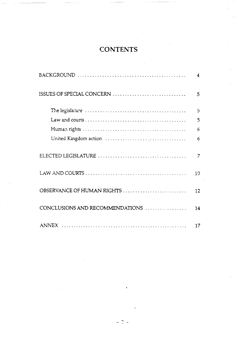### **CONTENTS**

|                                 | 4              |
|---------------------------------|----------------|
| ISSUES OF SPECIAL CONCERN       | 5              |
|                                 | $\overline{5}$ |
|                                 | 5              |
|                                 | 6              |
|                                 | 6              |
|                                 | 7              |
|                                 | 10             |
| OBSERVANCE OF HUMAN RIGHTS      | 12             |
| CONCLUSIONS AND RECOMMENDATIONS | 14             |
|                                 | 17             |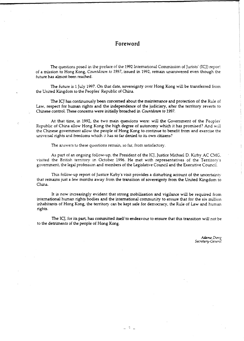#### **Foreword**

The questions posed in the preface of the 1992 International Commission of Jurists' (ICJ) reportof a mission to Hong Kong, *Countdown to 1997,* issued in 1992, remain unanswered even though the future has almost been reached.

The future is 1 July 1997. On that date, sovereignty over Hong Kong will be transferred from the United Kingdom to the Peoples' Republic of China.

The ICJ has continuously been concerned about the maintenance and protection of the Rule of Law, respect for human rights and the independence of the judiciary, after the territory reverts to Chinese control. These concerns were initially broached in *Countdown to 1997.* 

At that time, in 1992, the two main quescions were: will the Government of the Peoples<sup>-</sup> Republic of China allow Hong Kong the high degree of autonomy which it has promised? And will the Chinese government allow the people of Hong Kong to continue to benefit from and exercise the universal rights and freedoms which it has so far denied to its own citizens?

The answers to these questions remain, so far, from satisfactory.

As part of an ongoing follow-up, the President of the ICJ, Justice Michael D. Kirby AC CMG, visited the British territory in October 1996. He met with representatives of the Territory's government, the legal profession and members of the Legislative Council and the Executive Council.

This follow-up report of Justice Kirby's visit provides a disturbing account of the uncertainty that remains just a few months away from the transition of sovereignty from the United Kingdom to China.

It is now increasingly evident that strong mobilisation and vigilance will be required from international human rights bodies and the international community to ensure that for the six million inhabitants of Hong Kong, the territory can be kept safe for democracy, the Rule of Law and human rights.

The ICJ, for its part, has committed itself to endeavour to ensure that this transition will not be to the detriments of the people of Hong Kong.

 $\mathbb{R}^n$ 

*Adama Dieng Secreta ry-Genora I*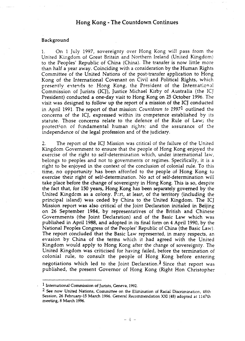#### Hong Kong- The Countdown Continues

#### Background

l. On 1 July 1997, sovereignty over Hong Kong will pass from the United Kingdom of Great Britain and Northern Ireland (United Kingdom) to the Peoples' Republic of China (China). The transfer is now little more than half a year away. Coinciding with a consideration by the Human Rights Committee of the United Nations of the post-transfer application to Hong Kong of the International Covenant on Civil and Political Rights, which presently extends to Hong Kong, the President of the International Commission of Jurists (ICJ), Justice Michael Kirby of Australia (the ICJ President) conducted a one-day visit to Hong Kong on 25 October 1996. The visit was designed to follow up the report of a mission of the ICJ conducted in April 1991. The report of that mission: *Countdown to 19971* outlined the concerns of the ICJ, expressed within its competence established by its statute. Those concerns relate to the defence of the Rule of Law; the protection of fundamental human rights; and the assurance of the independence of the legal profession and of the judiciary.

2. The report of the ICJ Mission was critical of the failure of the United Kingdom Government to ensure that the people of Hong Kong enjoyed the exercise of the right to self-determination which, under international law, belongs to peoples and not to governments or regimes. Specifically, it is a right to be enjoyed in the context of the conclusion of colonial rule. To this time, no opportunity has been. afforded to the people of Hong Kong to exercise their right of self-determination. No act of self-determination will take place before the change of sovereignty in Hong Kong. This is so, despite the fact that, for 150 years, Hong Kong has been separately governed by the United Kingdom as a colony. Part, at least, of the territory (including the principal island) was ceded by China to the United Kingdom. The ICJ Mission report was also critical of the Joint Declaration initialed in Beijing on 26 September 1984, by representatives of the British and Chinese Governments (the Joint Declaration) and of the Basic Law which was published in April 1988, and adopted in its final form on 4 April 1990, by the National Peoples Congress of the Peoples' Republic of China (the Basic Law). The report concluded that the Basic Law represented, in many respects, an evasion by China of the terms which it had agreed with the United Kingdom would apply to Hong Kong after the change of sovereignty. The United Kingdom was criticised for having failed, before the termination of colonial rule, to consult the people of Hong Kong before entering negotiations which led to the Joint Declaration.<sup>2</sup> Since that report was published, the present Governor of Hong Kong (Right Hon Christopher

<sup>1</sup> International Commission of Jurists, Geneva, 1992.

<sup>2</sup> See now United Nations, Committee on the Elimination of Racial Discrimination, 48th Session, 26 February-15 March 1996. General Recommendation XXl (48) adopted at 1147th meeting, 8 March 1996.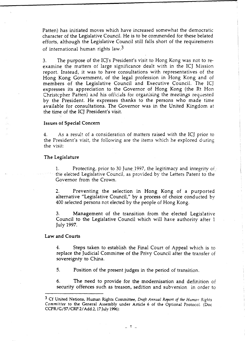Patten) has initiated moves which have increased somewhat the democratic character of the Legislative Council. He is to be commended for these belated efforts, although the Legislative Council still falls short of the requirements of international human rights law.3

3. The purpose of the ICJ's President's visit to Hong Kong was not to reexamine the matters of large significance dealt with in the ICJ Mission report. Instead, it was to have consultations with representatives of the Hong Kong Government, of the legal profession in Hong Kong and of members of the Legislative Council and Executive Council. The ICJ expresses its appreciation to the Governor of Hong Kong (the Rt Hon Christcpher Patten) and his officials for organising the meetings requested by the President. He expresses thanks to the persons who made time available for consultations. The Governor was in the United Kingdom at the time of the ICJ President's visit.

#### Issues of Special Concern

4. As a resul: of a consideration of matters raised with the ICJ prior to the President's visit, the following are the items which he explored during the visit:

#### The Legislature

1. Protecting, prior to 30 June 1997, the legitimacy and integrity of the elected Legislative Council, as provided by the Letters Patent to the Governor from the Crown.

2. Preventing the selection in Hong Kong of a purported alternative "Legislative Council," by a process of choice conducted by 400 selected persons not elected by the people of Hong Kong.

3. Management of the transition from the elected Legislative Council to the Legislative Council which will have authority after 1 July 1997.

#### Law and Courts

4. Steps taken to establish the Final Court of Appeal which is to replace the Judicial Committee of the Privy Council after the transfer of sovereignty to China.

5. Position of the present judges in the period of transition.

6. The need to provide for the modernisation and definition of security offences such as treason, sedition and subversion in order to

<sup>&</sup>lt;sup>3</sup> Cf United Nations, Human Rights Committee, *Draft Annual Report of the Human Rights Committee* to the General Assembly under Article 6 of the Optional ProtocoL (Doe CCPR/G/57 /CRP.2/ Add.2, 17 July 19%):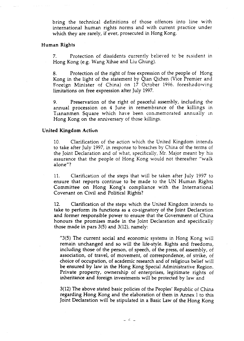bring the technical definitions of those offences into line with international human rights norms and with current practice under which they are rarely, if ever, prosecuted in Hong Kong.

#### Human Rights

7. Protection of dissidents currently believed to be resident in Hong Kong (e.g. Wang Xihae and Liu Ghung).

8. Protection of the right of free expression of the people of Hong Kong in the light of the statement by Qian Qichen (Vice Premier and Foreign Minister of China) on 17 October 1996. foreshadowing limitations on free expression after July 1997.

9. Preservation of the right of peaceful assembly, including the annual procession on 4 June in remembrance of the killings in Tiananmen Square which have been conimemorated annually in Hong Kong on the anniversary of those killings.

#### United Kingdom Actiun

10. Clarification of the action which the United Kingdom intends to take after July 1997, in response to breaches by China of the terms of the Joint Declaration and of what, specifically, Mr. Major meant by his assurance that the people of Hong Kong would not thereafter "walk alone"?

11. Clarification of the steps that will be taken after July 1997 to ensure that reports continue to be made to the UN Human Rights Committee on Hong Kong's compliance with the International Covenant on Civil and Political Rights?

12. Clarificatien of the steps which the United Kingdom intends to take to perform its functions as a co-signatory of the Joint Declaration and former responsible power to ensure that the Government of China honours the promises made in the Joint Declaration and specifically those made in pars  $3(5)$  and  $3(12)$ , namely:

"3(5) The current social and economic systems in Hong Kong will remain unchanged and so will the life-style. Rights and freedoms, including those of the person, of speech, of the press, of assembly, of association, of travel, of movement, of correspondence, of strike, of choice of occupation, of academic research and of religious belief will be ensured by law in the Hong Kong Special Administrative Region. Private property, ownership of enterprises, legitimate rights of inheritance and foreign investments will be protected by law and

3(12) The above stated basic policies of the Peoples' Republic of China regarding Hong Kong and the elaboration of them in Annex 1 to this Joint Declaration will be stipulated in a Basic Law of the Hong Kong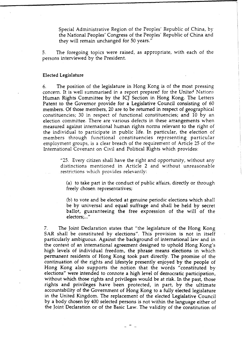Special Administrative Region of the Peoples' Republic of China, by the National Peoples' Congress of the Peoples' Republic of China and they will remain unchanged for 50 years."

5. The foregoing topics were raised, as appropriate, with each of the persons interviewed by the President.

#### Elected Legislature

6. The position of the legislature in Hong Kong is of the most pressing concern. It is well summarised in a report prepared for the United Nations Human Rights Committee by the ICJ Section in Hong Kong. The Letters Patent to the Governor provide for a Legislative Council consisting of 60 members. Of those members, 20 are to be returned in respect of geographical constituencies; 30 in respect of functional constituencies; and 10 by an election committee. There are various defects in these arrangements when measured against international human rights norms relevant to the right of the individual to participate in public life. In particular, the election of members through functional constituencies representing particular employment groups, is a clear breach of the requirement of Article 25 of the International Covenant on Civil and Political Rights which provides:

> "25. Every citizen shall have the right and opportunity, without any distinctions mentioned in Article 2 and without unreasonable restrictions which provides relevantly:

(a) to take part in the conduct of public affairs, directly or through freely chosen representatives;

(b) to vote and be elected at genuine periodic elections which shall be by universal and equal suffrage and shall be held by secret ballot, guaranteeing the free expression of the will of the electors;..."

7. The Joint Declaration states that "the legislature of the Hong Kong SAR shall be constituted by elections". This provision is not in itself particularly ambiguous. Against the background of international law and in the context of an international agreement designed to uphold Hong Kong's high levels of individual freedom, the phrase means elections in which permanent residents of Hong Kong took part directly. The promise of the continuation of the rights and lifestyle presently enjoyed by the people of Hong Kong also supports the notion that the words "constituted by elections" were intended to connote a high level of democratic participation, without which those rights and privileges would be at risk. In the past, those rights and privileges have been protected, in part, by the ultimate accountability of the Government of Hong Kong to a fully elected legislature in the United Kingdom. The replacement of the elected Legislative Council by a body chosen by 400 selected persons is not within the language either of the Joint Declaration or of the Basic Law. The validity of the constitution of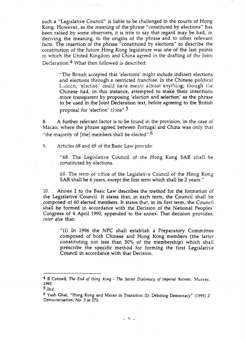such a "Legislative Council" is liable to be challenged in the courts of Hong Kong. However, as the meaning of the phrase "constituted by elections" has been raised by some observers, it is trite to say that regard may be had, in deriving the meaning, to the origins of the phrase and to other relevant facts. The insertion of the phrase "constituted by elections" to describe the constitution of the future Hong Kong legislature was one of the last points to which the United Kingdom and China agreed in the drafting of the Joint Declaration. $4$  What then followed is described:

"The British accepted that 'elections' might include indirect elections and elections through a restricted franchise. In the Chinese political lexicon, 'election' could have meant almost anything; though the Chinese had, in this instance, attempted to make their intentions more transparent by proposing 'election and selection' as the phrase to be used in the Joint Declaration text, before agreeing to the British proposal for 'election' alone". $5$ 

8. A further relevant factor is to be found in the provision, in the case of Macao, where the phrase agreed between Portugal and China was only that "the majority of [the] members shall be elected".<sup>6</sup>

9. Articles 68 and 69 of the Basic Law provide:

"68. The Legislative Council of the Hong Kong SAR shall be constituted by elections.

69. The term of office of the Legislative Council of the Hong Kong SAR shall be 4 years, except the first term which shall be 2 years."

10. Annex 2 to the Basic Law describes the method for the formation of the Legislative Council. It states that, in each term, the Council shall be composed of 60 elected members. It states that, in its first term, the Council shall be formed in accordance with the Decision of the National Peoples' Congress of 4 April 1990, appended to the annex. That decision provides, *inter alia* that:

"(i) In 1996 the NPC shall establish a Preparatory Committee composed of both Chinese and Hong Kong members (the latter constituting not less than 50% of the membership) which shall prescribe the specific method for forming the first Legislative Council in accordance with that Decision.

<sup>4</sup> R Cottrell, *The End of Hong Kong* - *The Secret Diplomacy of Imperial Retreat,* Murray, 1993.

<sup>5</sup> *!bid.* 

<sup>6</sup> Yash Ghai, "Hong Kong and Macao in Transition (I): Debating Democracy" (1995) 2 *Democratisation,* No. 3 at 270.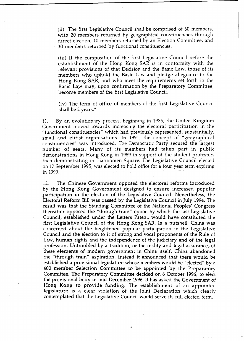(ii) The first Legislative Council shall be comprised of 60 members, with 20 members returned by geographical constituencies through direct election, 10 members returned by an Election Committee, and 30 members returned by functional constituencies.

(iii) If the composition of the first Legislative Council before the establishment of the Hong Kong SAR is in conformity with the relevant provisions of that Decision and the Basic Law, those of its members who uphold the Basic Law and pledge allegiance to the Hong Kong SAR, and who meet the requirements set forth in the Basic Law may, upon confirmation by the Preparatory Committee, become members of the first Legislative Council.

(iv) The term of office of members of the first Legislative Council shall be 2 years."

11. By an evolutionary process, beginning in 1985, the United Kingdom Government moved towards increasing the electoral participation in the "functional constituencies" which had previously represented, substantially, small and elitist organisations. In 1991, the concept of "geographical constituencies" was introduced. The Democratic Party secured the largest number of seats. Many of its members had taken part in public demonstrations in Hong Kong in 1989 in support of the student protesters then demonstrating in Tiananmen Square. The Legislative Council elected on 17 September 1995, was elected to hold office for a four year term expiring in 1999.

12. The Chinese Government opposed the electoral reforms introduced by the Hong Kong Government designed to ensure increased popular participation in the election of the Legislative Council. Nevertheless, the Electoral Reform Bill was passed by the Legislative Council in July 1994. The result was that the Standing Committee of the National Peoples' Congress thereafter opposed the "through train" option by which the last Legislative Council, established under the Letters Patent, would have constituted the first Legislative Council of the Hong Kong SAR. In a nutshell, China was concerned about the heightened popular participation in the Legislative Council and the election to it of strong and vocal proponents of the Rule of Law, human rights and the independence of the judiciary and of the legal profession. Untroubled by a tradition, or the reality and legal assurance, of these elements of modem government in China itself, China abandoned the "through train" aspiration. Instead it announced that there would be established a provisional legislature whose members would be "elected" by a 400 member Selection Committee to be appointed by the Preparatory Committee. The Preparatory Committee decided on 6 October 1996, to elect the provisional body in mid-December 1996. It has asked the Government of Hong Kong to provide funding. The establishment of an appointed legislature is a clear violation of the Joint Declaration which clearly contemplated that the Legislative Council would serve its full elected term.

 $\sim$   $\degree$   $\degree$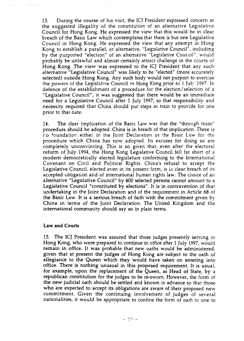13. During the course of his visit, the ICJ President expressed concern at the suggested illegality of the constitution of an alternative Legislative Council for Hong Kong. He expressed the view that this would be in clear breach of the Basic Law which contemplates that there is but one Legislative Council in Hong Kong. He expressed the view that any attempt in Hong Kong to establish a parallel, or alternative, "Legislative Council", including by the purported "election" of an alternative "Legislative Cour.cil", would probably be unlawful and almost certainly attract challenge in the courts of Hong Kong. The view was expressed to the ICJ President that any such alternative "Legislative Council" was likely to be "elected" (more accurately selected) outside Hong Kong. Any such body would not purport to exercise the powers of the Legislative Council in Hong Kong prior to 1 July 1997. In defence of the establishment of a procedure for the election/ selection of a "Legislative Council", it was suggested that there would be an immediate need for a Legislative Council after 1 July 1997, so that responsibility and necessity required that China should put steps in train to provide for one prior to that aate.

14. The clear implication of the Basic Law was that the "through train" procedure should be adopted. China is in breach of that implication. There is no foundation either in the Joint Declaration or the Basic Law for the procedure which China has now adopted. Its excuses for doing so are completely unconvincing. This is so given that, even after the electoral reform of July 1994, the Hong Kong Legislative Council fell far short of a modern democratically elected legislature conforming to the International Covenant on Civil and Political Rights. China's refusal to accept the Legislative Council, elected even in its present form, is in clear breach of its accepted obligation and of international human rights law. The choice of an alternative "Legislative Council" by 400 selected persons cannot amount to a Legislative Council "constituted by elections". It is in contravention of that undertaking in the Joint Declaration and of the requirement in Article 68 of the Basic Law. It is a serious breach of faith with the commitment given by China in terms of the Joint Declaration. The United Kingdom and the international community should say so in plain terms.

#### Law and Courts

15. The ICJ President was assured that those judges presently serving in Hong Kong, who were prepared to continue in office after 1 July 1997, would remain in office. It was probable that new oaths would be administered, given that at present the judges of Hong Kong are subject to the oath of allegiance to the Queen which they would have taken on entering into office. There is nothing unusual in this proposed requirement. It is usual, for example, upon the replacement of the Queen, as Head of State, by a republican constitution for the judges to be re-sworn. However, the form of the new judicial oath should be settled and known in advance so that those who are expected to accept its obligations are aware of their proposed new commitment. Given the continuing involvement of judges of several nationalities, it would be appropriate to confine the form of oath to one to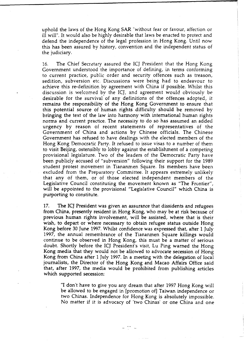uphold the laws of the Hong Kong SAR "without fear or favour, affection or ill will". It would also be highly desirable that laws be enacted to protect and defend the independence of the legal profession in Hong Kong. Until now this has been assured by history, convention and the independent status of the judiciary.

16. The Chief Secretary assured the ICJ President that the Hong Kong Government understood the importance of defining, in terms conforming to current practice, public order and security offences such as treason, sedition, subversion etc. Discussions were being had to endeavour to achieve this re-definition by agreement with China if possible. Whilst this discussion is welcomed by the ICJ, and agreement would obviously be desirable for the survival of any definitions of the offences adopted, it remains the responsibility of the Hong Kong Government to ensure that this potential source of human rights difficulty should be removed by bringing the text of the law into harmony with international human rights norms and current practice. The necessity to do so has assumed an added urgency by reason of recent statements of representatives of the Government of China and actions by Chinese officials. The Chinese Government has refused to have dealings with the elected members of the Hong Kong Democratic Party. It refused to issue visas to a number of them to visit Beijing, ostensibly to lobby against the establishment of a competing provisional legislature. Two of the leaders of the Democratic Party have been publicly accused of "subversion" following their support for the 1989 student protest movement in Tiananmen Square. Its members have been excluded from the Preparatory Committee. It appears extremely unlikely that any of them, or of those elected independent members of the Legislative Council constituting the movement known as "The Frontier", will be appointed to the provisional "Legislative Council" which China is purporting to constitute.

17. The ICJ President was given an assurance that dissidents and refugees from China, presently resident in Hong Kong, who may be at risk because of previous human rights involvement, will be assisted, where that is their wish, to depart or where necessary to obtain refugee status outside Hong Kong before 30 June 1997. Whilst confidence was expressed that, after 1 July 1997, the annual remembrance of the Tiananmen Square killings would continue to be observed in Hong Kong, this must be a matter of serious doubt. Shortly before the ICJ President's visit, Lu Ping warned the Hong Kong media that they would not be allowed to advocate secession of Hong Kong from China after 1 July 1997. In a meeting with the delegation of local journalists, the Director of the Hong Kong and Macao Affairs Office said that, after 1997, the media would be prohibited from publishing articles which supported secession:

"I don't have to give you any dream that after 1997 Hong Kong will be allowed to be engaged in [promotion of] Taiwan independence or two Chinas. Independence for Hong Kong is absolutely impossible. No matter if it is advocacy of 'two Chinas' or one China and one

 $=$   $\frac{44}{1}$   $=$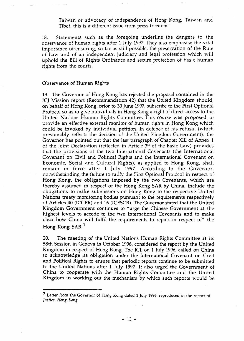Taiwan or advocacy of independence of Hong Kong, Taiwan and Tibet, this is a different issue from press freedom."

18. Statements such as the foregoing underline the dangers to the observance of human rights after 1 July 1997. They also emphasise the vital importance of ensuring, so far as still possible, the preservation of the Rule of Law and of an independent judiciary and legal profession which will uphold the Bill of Rights Ordinance and secure protection of basic human rights from the courts.

#### Observance of Human Rights

19. The Governor of Hong Kong has rejected the proposal contained in the ICJ Mission report (Recommendation 42) that the United Kingdom should, on behalf of Hong Kong, prior to 30 June 1997, subscribe to the First Optional Protocol so as to give individuals in Hong Kong a right of direct access to the United Nations Human Rights Committee. This course was proposed to provide an effective external monitor of human rights in Hong Kong which could be invoked by individual petition. In defence of his refusal (which presumably reflects the decision of the United Kingdom Government), the Governor has pointed out that the last paragraph of Chapter Xlll of Annex 1 of the Joint Declaration (reflected in Article 39 of the Basic Law) provides that the provisions of the two International Covenants (the International Covenant on Civil and Political Rights and the International Covenant on Economic, Social and Cultural Rights), as applied to Hong Kong, shall remain in force after 1 July 1997. According to the Governor, no:withstanding the failure to ratify the First Optional Protocol in respect of Hong Kong, the obligations imposed by the two Covenants, which are thereby assumed in respect of the Hong Kong SAR by China, include the obligations to make submissions on Hong Kong to the respective United Nations treaty monitoring bodies pursuant to the requirements respectively of Articles 40 (ICCPR) and 16 (ICESCR). The Governor stated that the United Kingdom Government continues to "urge the Chinese Government at the highest levels to accede to the two International Covenants and to make clear how China will fulfil the requirements to report in respect of" the Hong Kong SAR. 7

20. The meeting of the United Nations Human Rights *Committee* at its 58th Session in Geneva in October 1996, considered the report by the United Kingdom in respect of Hong Kong. The ICJ, on 1 July 1996, called on China to acknowledge its obligation under the International Covenant on Civil and Political Rights to ensure that periodic reports continue to be submitted to the United Nations after 1 July 1997. It also urged the Government of China to cooperate with the Human Rights Committee and the United Kingdom in working out the mechanism by which such reports would be

<sup>7</sup> Letter from the Governor of Hong Kong dated 2 July 1996, reproduced in the report of *justice, Hong Kong.*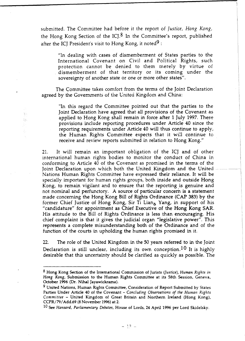submitted. The Committee had before it the report of *Justice, Hong Kong,*  the Hong Kong Section of the ICJ. $8$  In the Committee's report, published after the ICJ President's visit to Hong Kong, it noted<sup>9</sup>:

> "ln dealing with cases of dismemberment of States parties to the International Covenant on Civil and Political Rights, such protection cannot be denied to them merely by virtue of dismemberment of that territory or its coming under the sovereignty of another state or one or more other states".

The Committee takes comfort from the terms of the Joint Declaration agreed by the Governments of the United Kingdom and China:

家具  $\frac{1}{2}$  ).

"In this regard the Committee pointed out that the parties to the Joint Declaration have agreed that all provisions of the Covenant as applied to Hong Kong shall remain in force after 1 July 1997. These provisions include reporting procedures under Article 40 since the reporting requirements under Article 40 will thus continue to apply, the Human Rights Committee expects that it will continue to receive and review reports submitted in relation to Hong Kong."

21. It will remain an important obligation of the ICJ and of other international human rights bodies to monitor the conduct of China in conforming to Article 40 of the Covenant as promised in the terms of the Joint Declaration upon which both the United Kingdom and the United Nations Human Rights Committee have expressed their reliance. It will be specially important for human rights groups, both inside and outside Hong Kong, to remain vigilant and to ensure that the reporting is genuine and not nominal and perfunctory. A source of particular concern is a statement made concerning the Hong Kong Bill of Rights Ordinance (CAP 383) by the former Chief Justice of Hong Kong, Sir Ti Liang Yang, in support of his "candidature" for appointment as Chief Executive of the Hong Kong SAR. His attitude to the Bill of Rights Ordinance is less than encouraging. His chief complaint is that it gives the judicial organ "legislative power". This represents a complete misunderstanding both of the Ordinance and of the function of the courts in upholding the human rights promised in it.

22. The role of the United Kingdom in the 50 years referred to in the Joint Declaration is still unclear, including its own conception.<sup>10</sup> It is highly desirable that this uncertainty should be clarified as quickly as possible. The

<sup>8</sup> Hong Kong Section of the International Commission of Jurists *(justice), Human Rights in Hong Kong,* Submission to the Human Rights Committee at its 58th Session, Geneva, October 1996 (Dr. Nihal Jayawickrama).

<sup>&</sup>lt;sup>9</sup> United Nations, Human Rights Committee, Consideration of Report Submitted by States Parties Under Article 40 of the Covenant - *Concluding Observations of the Human Rights Committee* - United Kingdom of Great Britain and Northern Ireland (Hong Kong), CCPR/79/ Add.69 (8 November 1996) at 2.

<sup>10</sup> See *Hansard, Parliamentary Debates,* House of Lords, 24 April 1996 per Lord Skidelsky.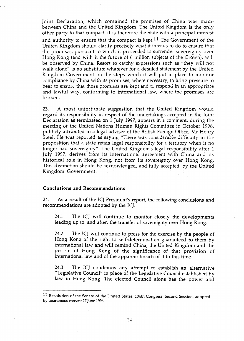Joint Declaration, which contained the promises of China was made between China and the United Kingdom. The United Kingdom is the only other party to that compact. It is therefore the State with a principal interest and authority to ensure that the compact is kept.<sup>11</sup> The Government of the United Kingdom should clarify precisely what it intends to do to ensure that the promises, pursuant to which it proceeded to surrender sovereignty over Hong Kong (and with it the future of 6 million subjects of the Crown), will be observed by China. Resort to catchy expressions such as "they will not walk alone" is no substitute whatever for a detailed statement by the United Kingdom Government on the steps which it will put in place to monitor compliance by China with its promises, where necessary, to bring pressure to bear to ensure that those promises are kept and to respond in an appropriate and lawful way, conforming to international law, where the promises are broken.

23. A most unfortunate suggestion that the United Kingdom would regard its responsibility in respect of the undertakings accepted in the Joint Declaration as terminated on 1 July 1997, appears in a comment, during the meeting of the United Nations Human Rights Committee in October 1996, publicly attriouted *to* a legal adviser of the British Foreign Office, Mr Henry Steel. He was reported as saying "There was considerable difficulty in the proposition that a state retain legal responsibility for a territory when it no longer had sovereignty". The United Kingdom's legal responsibility after 1 July 1997, derives from its international agreement with China and its historical role in Hong Kong, not from its sovereignty over Hong Kong. This distinction should be acknowledged, and fully accepted, by the United Kingdom Government.

#### Conclusions and Recommendations

24. As a result of the ICJ President's report, the following conclusions and recommendations are adopted by the  $I\subset J$ :

24.1 The ICJ will continue to monitor closely the developments leading up to, and after, the transfer of sovereignty over Hong Kong.

24.2 The TCJ will continue to press for the exercise by the people of Hong Kong of the right to self-determination guaranteed to them by international law and will remind China, the United Kingdom and the pec 'le of Hong Kong of the significance of that provision of international law and of the apparent breach of it to this time.

24.3 The ICJ condemns any attempt to establish an alternative "Legislative Council" in place of the Legislative Council established by law in Hong Kong. The elected Council alone has the power and

<sup>11</sup> Resolution of the Senate of the United States, 104th Congress, Second Session, adopted by unanimous consent 27 June 1996.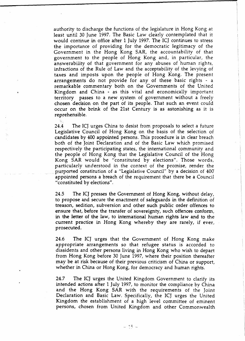authority to discharge the functions of the legislature in Hong Kong at least until 30 June 1997. The Basic Law clearly contemplated that it would continue in office after 1 July 1997. The ICJ continues to stress the importance of providing for the democratic legitimacy of the Government in the Hong Kong SAR, the accountability of that government to the people of Hong Kong and, in particular, the answerability of that government for any abuses of human rights, infractions of the Rule of Law and the acceptability of the levying of taxes and imposts upon the people of Hong Kong. The present arrangements do not provide for any of these basic rights - a remarkable commentary both on the Governments of the United Kingdom and China - as this vital and economically important territory passes to a new system of government without a freely chosen decision on the part of its people. That such an event could occur on the brink of the 21st Century is as astonishing as it is reprehensible.

24.4 The ICJ urges China to desist from proposals to select a future Legislative Council of Hong Kong on the basis of the selection of candidates by 400 appointed persons. This procedure is in clear breach both of the Joint Declaration and of the Basic Law which promised respectively the participating states, the international community and the people of Hong Kong that the Legislative Council of the Hong Kong SAR would be "constituted by elections". Those words, particularly understood in the context of the promise, render the purported constitution of a "Legislative Council" by a decision of 400 appointed persons a breach of the requirement that there be a Council "constituted by elections".

24.5 The ICJ presses the Government of Hong Kong, without delay, to propose and secure the enactment of safeguards in the definition of treason, sedition, subversion and other such public order offences to ensure that, before the transfer of sovereignty, such offences conform, in the letter of the law, to international human rights law and to the current practice in Hong Kong whereby they are rarely, if ever, prosecuted.

24.6 The ICJ urges that the Government of Hong Kong make appropriate arrangements so that refugee status is accorded to dissidents and other persons living in Hong Kong who wish to depart from Hong Kong before 30 June 1997, where their position thereafter may be at risk because of their previous criticism of China or support, whether in China or Hong Kong, for democracy and human rights.

24.7 The ICJ urges the United Kingdom Government to clarify its intended actions after 1 July 1997, to monitor the compliance by China and the Hong Kong SAR with the requirements of the Joint Declaration and Basic Law. Specifically, the ICJ urges the United Kingdom the establishment of a high level committee of eminent persons, chosen from United Kingdom and other Commonwealth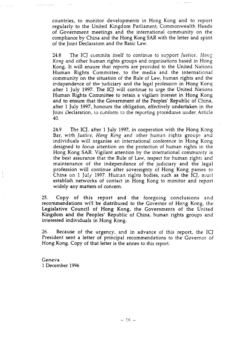countries, to monitor developments in Hong Kong and to report regularly to the United Kingdom Parliament, Commonwealth Heads of Government meetings and the international community on the compliance by China and the Hong Kong SAR with the letter and spirit of the Joint Declaration and the Basic Law.

24.8 The ICJ commits itself to continue to support *Justice*, *Hong Kong* and other human rights groups and organisations based in Hong Kong. It will ensure that reports are provided to the United Nations Human Rights Committee, to the media and the international community on the situation of the Rule of Law, human rights and the independence of the judiciary and the legal profession in Hong Kong. after 1 July 1997. The ICJ will continue to urge the United Nations Human Rights Committee to retain a vigilant interest in Hong Kong and to ensure that the Government of the Peoples' Republic of China, after 1 July 1997, honours the obligation, effectively undertaken in the Joint Declaration, to conform to the reporting procedures under Article 40.

24.9 The ICJ, after 1 July 1997, in cooperation with the Hong Kong Bar, with *Justice, Hong Kong* and other human rights groups and individuals will organise an international conference in Hong Kong designed to focus attention on the protection of human rights in the Hong Kong SAR. Vigilant attention by the international community is the best assurance that the Rule of Law, respect for human rights and maintenance of the independence of the judiciary and the legal profession will continue after sovereignty of Hong Kong passes to China on 1 July 1997. Human rights bodies, such as the ICJ, must establish networks of contact in Hong Kong to monitor and report widely any matters of concern.

25. Copy of this report and the foregoing conclusions and recommendations will be distributed to the Governor of Hong Kong, the Legislative Council of Hong Kong, the Governments of the United Kingdom and the Peoples' Republic of China, human rights groups and interested individuals in Hong Kong.

26. Because of the urgency, and in advance of this report, the ICJ President sent a letter of principal recommendations to the Governor of Hong Kong. Copy of that letter is the annex to this report.

Geneva 1 December 1996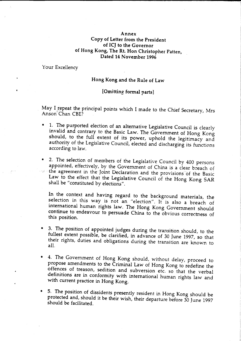#### Annex Copy of Letter from the President of ICJ to the Governor of Hong Kong, The Rt. Hon Christopher Patten, Dated 14 November 1996

Your Excellency

#### Hong Kong and the Rule of Law

#### [Omitting formal parts]

May I repeat the principal points which I made to the Chief Secretary, Mrs<br>Anson<sup>i'</sup> Chan CBE?

- 1. The purported election of an alternative Legislative Council is clearly invalid and contrary to the Basic Law. The Government of Hong Kong should, to the full extent of its power, uphold the legitimacy and authority of the Legislative Council, elected and discharging its functions according to law.
- 2. The selection of members of the Legislative Council by 400 persons appointed, effectively, by the Government of China is a clear breach of · · ·· the agreement in the Joint Declaration and the provisions of the Basic Law to the effect that the Legislative Council of the Hong Kong SAR shall be "constituted by elections".

In the context and having regard to the background materials, the selection in this way is not an "election". It is also a breach of international human rights law. The Hong Kong Government should continue to endeavour *to* persuade China to the obvious correctness of this position.

- 3. The position of appointed judges during the transition should, to the fullest extent possible, be clarified, in advance of 30 June 1997, so that their rights, duties and obligations during the transition are known to all.
- 4. The Government of Hong Kong should, without delay, proceed to propose amendments to the Criminal Law of Hong Kong to redefine the offences of treason, sedition and subversion etc. so that the verbal definitions are in conformity with international human rights law and with current practice in Hong Kong.
- 5. The position of dissidents presently resident in Hong Kong should be protected and, should it be their wish, their departure before 30 June 1997 should be facilitated.